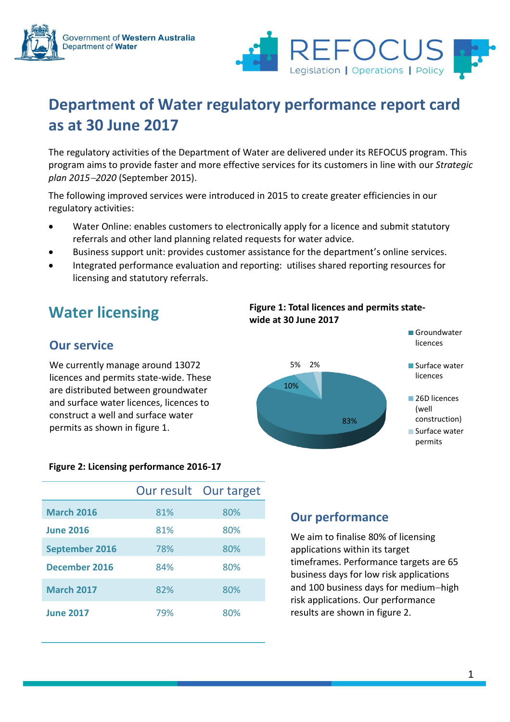



# **Department of Water regulatory performance report card as at 30 June 2017**

The regulatory activities of the Department of Water are delivered under its REFOCUS program. This program aims to provide faster and more effective services for its customers in line with our *Strategic plan 20152020* (September 2015).

The following improved services were introduced in 2015 to create greater efficiencies in our regulatory activities:

- Water Online: enables customers to electronically apply for a licence and submit statutory referrals and other land planning related requests for water advice.
- Business support unit: provides customer assistance for the department's online services.
- Integrated performance evaluation and reporting: utilises shared reporting resources for licensing and statutory referrals.

# **Water licensing**

## **Our service**

We currently manage around 13072 licences and permits state-wide. These are distributed between groundwater and surface water licences, licences to construct a well and surface water permits as shown in figure 1.

### **Figure 2: Licensing performance 2016-17**

|                       |     | Our result Our target |
|-----------------------|-----|-----------------------|
| <b>March 2016</b>     | 81% | 80%                   |
| <b>June 2016</b>      | 81% | 80%                   |
| <b>September 2016</b> | 78% | 80%                   |
| December 2016         | 84% | 80%                   |
| <b>March 2017</b>     | 82% | 80%                   |
| <b>June 2017</b>      | 79% | 80%                   |

### **Figure 1: Total licences and permits statewide at 30 June 2017**



## **Our performance**

We aim to finalise 80% of licensing applications within its target timeframes. Performance targets are 65 business days for low risk applications and 100 business days for medium-high risk applications. Our performance results are shown in figure 2.